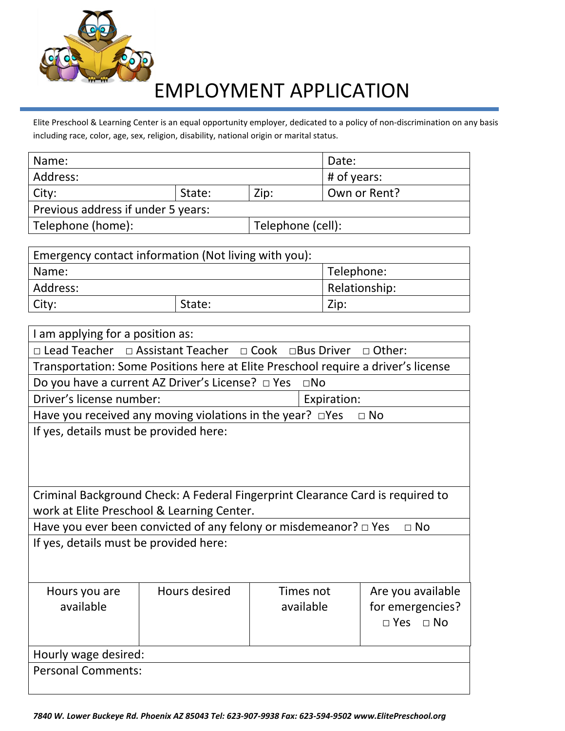

## EMPLOYMENT APPLICATION

Elite Preschool & Learning Center is an equal opportunity employer, dedicated to a policy of non-discrimination on any basis including race, color, age, sex, religion, disability, national origin or marital status.

| Name:                              |  | Date:             |               |  |  |
|------------------------------------|--|-------------------|---------------|--|--|
| Address:                           |  |                   | $#$ of years: |  |  |
| City:<br>State:                    |  | Zip:              | Own or Rent?  |  |  |
| Previous address if under 5 years: |  |                   |               |  |  |
| Telephone (home):                  |  | Telephone (cell): |               |  |  |
|                                    |  |                   |               |  |  |

| Emergency contact information (Not living with you): |               |      |  |  |
|------------------------------------------------------|---------------|------|--|--|
| Telephone:<br>Name:                                  |               |      |  |  |
| Address:                                             | Relationship: |      |  |  |
| City:                                                | State:        | Zip: |  |  |

| I am applying for a position as:                                                   |                                                                                   |  |              |                      |
|------------------------------------------------------------------------------------|-----------------------------------------------------------------------------------|--|--------------|----------------------|
|                                                                                    | □ Lead Teacher □ Assistant Teacher □ Cook □Bus Driver                             |  |              | $\Box$ Other:        |
|                                                                                    | Transportation: Some Positions here at Elite Preschool require a driver's license |  |              |                      |
|                                                                                    | Do you have a current AZ Driver's License? □ Yes                                  |  | $\square$ No |                      |
| Driver's license number:                                                           |                                                                                   |  | Expiration:  |                      |
|                                                                                    | Have you received any moving violations in the year? $\square$ Yes                |  |              | $\Box$ No            |
| If yes, details must be provided here:                                             |                                                                                   |  |              |                      |
|                                                                                    |                                                                                   |  |              |                      |
|                                                                                    |                                                                                   |  |              |                      |
|                                                                                    |                                                                                   |  |              |                      |
|                                                                                    | Criminal Background Check: A Federal Fingerprint Clearance Card is required to    |  |              |                      |
| work at Elite Preschool & Learning Center.                                         |                                                                                   |  |              |                      |
| Have you ever been convicted of any felony or misdemeanor? $\Box$ Yes<br>$\Box$ No |                                                                                   |  |              |                      |
| If yes, details must be provided here:                                             |                                                                                   |  |              |                      |
|                                                                                    |                                                                                   |  |              |                      |
|                                                                                    |                                                                                   |  |              |                      |
| Hours you are                                                                      | Hours desired                                                                     |  | Times not    | Are you available    |
| available                                                                          |                                                                                   |  | available    | for emergencies?     |
|                                                                                    |                                                                                   |  |              | $\Box$ Yes $\Box$ No |
|                                                                                    |                                                                                   |  |              |                      |
| Hourly wage desired:                                                               |                                                                                   |  |              |                      |
| <b>Personal Comments:</b>                                                          |                                                                                   |  |              |                      |
|                                                                                    |                                                                                   |  |              |                      |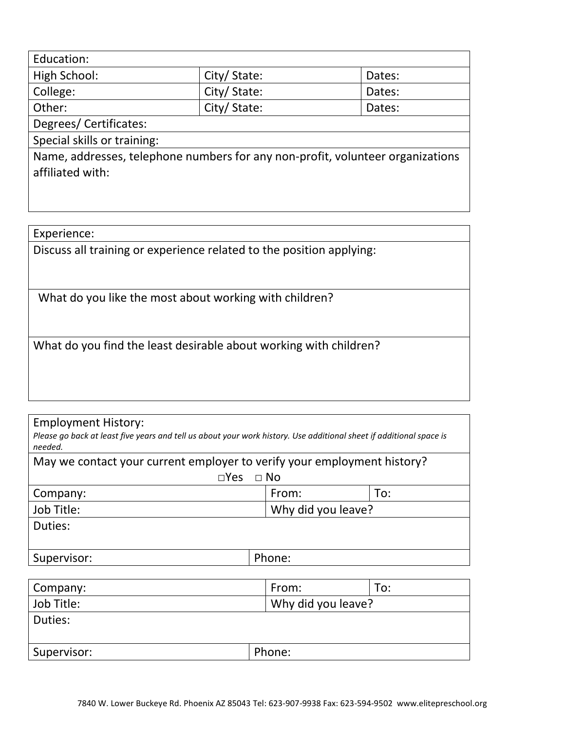| Education:            |             |        |
|-----------------------|-------------|--------|
| High School:          | City/State: | Dates: |
| College:              | City/State: | Dates: |
| Other:                | City/State: | Dates: |
| Degrees/Certificates: |             |        |

Special skills or training:

Name, addresses, telephone numbers for any non-profit, volunteer organizations affiliated with:

Experience:

Discuss all training or experience related to the position applying:

What do you like the most about working with children?

What do you find the least desirable about working with children?

Employment History:

*Please go back at least five years and tell us about your work history. Use additional sheet if additional space is needed.*

| May we contact your current employer to verify your employment history? |                            |     |  |  |
|-------------------------------------------------------------------------|----------------------------|-----|--|--|
|                                                                         | $\Box$ No<br>$\square$ Yes |     |  |  |
| Company:                                                                | From:                      | To: |  |  |
| Job Title:<br>Why did you leave?                                        |                            |     |  |  |
| Duties:                                                                 |                            |     |  |  |
|                                                                         |                            |     |  |  |
| Supervisor:                                                             | Phone:                     |     |  |  |

| Company:    | From:              | To: |
|-------------|--------------------|-----|
| Job Title:  | Why did you leave? |     |
| Duties:     |                    |     |
|             |                    |     |
| Supervisor: | Phone:             |     |